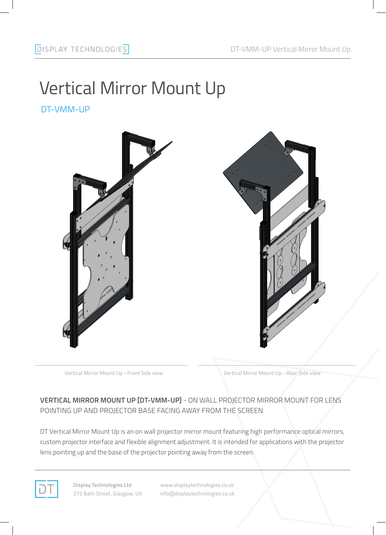# Vertical Mirror Mount Up

DT-VMM-UP



Vertical Mirror Mount Up - Front Side view Vertical Mirror Mount Up - Rear Side view

### **VERTICAL MIRROR MOUNT UP [DT-VMM-UP]** - ON WALL PROJECTOR MIRROR MOUNT FOR LENS POINTING UP AND PROJECTOR BASE FACING AWAY FROM THE SCREEN

DT Vertical Mirror Mount Up is an on wall projector mirror mount featuring high performance optical mirrors, custom projector interface and flexible alignment adjustment. It is intended for applications with the projector lens pointing up and the base of the projector pointing away from the screen.



**Display Technologies Ltd** 272 Bath Street, Glasgow, UK www.displaytechnologies.co.uk info@displaytechnologies.co.uk